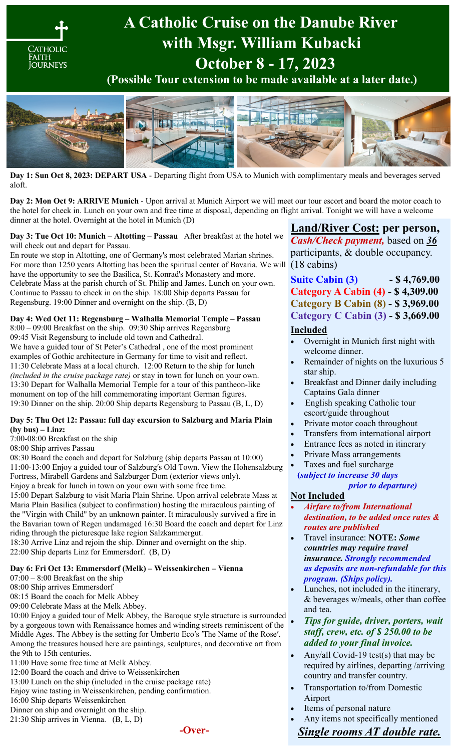

**Day 1: Sun Oct 8, 2023: DEPART USA** - Departing flight from USA to Munich with complimentary meals and beverages served aloft.

**Day 2: Mon Oct 9: ARRIVE Munich** - Upon arrival at Munich Airport we will meet our tour escort and board the motor coach to the hotel for check in. Lunch on your own and free time at disposal, depending on flight arrival. Tonight we will have a welcome dinner at the hotel. Overnight at the hotel in Munich (D)

#### **Day 3: Tue Oct 10: Munich – Altotting – Passau** After breakfast at the hotel we will check out and depart for Passau.

En route we stop in Altotting, one of Germany's most celebrated Marian shrines. For more than 1250 years Altotting has been the spiritual center of Bavaria. We will (18 cabins) have the opportunity to see the Basilica, St. Konrad's Monastery and more. Celebrate Mass at the parish church of St. Philip and James. Lunch on your own. Continue to Passau to check in on the ship. 18:00 Ship departs Passau for Regensburg. 19:00 Dinner and overnight on the ship. (B, D)

### **Day 4: Wed Oct 11: Regensburg – Walhalla Memorial Temple – Passau**

8:00 – 09:00 Breakfast on the ship. 09:30 Ship arrives Regensburg 09:45 Visit Regensburg to include old town and Cathedral. We have a guided tour of St Peter's Cathedral , one of the most prominent examples of Gothic architecture in Germany for time to visit and reflect. 11:30 Celebrate Mass at a local church. 12:00 Return to the ship for lunch *(included in the cruise package rate)* or stay in town for lunch on your own. 13:30 Depart for Walhalla Memorial Temple for a tour of this pantheon-like monument on top of the hill commemorating important German figures. 19:30 Dinner on the ship. 20:00 Ship departs Regensburg to Passau (B, L, D)

#### **Day 5: Thu Oct 12: Passau: full day excursion to Salzburg and Maria Plain (by bus) – Linz:**

7:00-08:00 Breakfast on the ship

08:00 Ship arrives Passau

08:30 Board the coach and depart for Salzburg (ship departs Passau at 10:00) 11:00-13:00 Enjoy a guided tour of Salzburg′s Old Town. View the Hohensalzburg Fortress, Mirabell Gardens and Salzburger Dom (exterior views only).

Enjoy a break for lunch in town on your own with some free time.

15:00 Depart Salzburg to visit Maria Plain Shrine. Upon arrival celebrate Mass at Maria Plain Basilica (subject to confirmation) hosting the miraculous painting of the "Virgin with Child" by an unknown painter. It miraculously survived a fire in the Bavarian town of Regen undamaged 16:30 Board the coach and depart for Linz riding through the picturesque lake region Salzkammergut.

18:30 Arrive Linz and rejoin the ship. Dinner and overnight on the ship. 22:00 Ship departs Linz for Emmersdorf. (B, D)

#### **Day 6: Fri Oct 13: Emmersdorf (Melk) – Weissenkirchen – Vienna**

 $07:00 - 8:00$  Breakfast on the ship

08:00 Ship arrives Emmersdorf

08:15 Board the coach for Melk Abbey

09:00 Celebrate Mass at the Melk Abbey.

10:00 Enjoy a guided tour of Melk Abbey, the Baroque style structure is surrounded by a gorgeous town with Renaissance homes and winding streets reminiscent of the Middle Ages. The Abbey is the setting for Umberto Eco′s ′The Name of the Rose′. Among the treasures housed here are paintings, sculptures, and decorative art from the 9th to 15th centuries.

11:00 Have some free time at Melk Abbey.

12:00 Board the coach and drive to Weissenkirchen

13:00 Lunch on the ship (included in the cruise package rate)

Enjoy wine tasting in Weissenkirchen, pending confirmation.

16:00 Ship departs Weissenkirchen

Dinner on ship and overnight on the ship.

21:30 Ship arrives in Vienna. (B, L, D)



## **Land/River Cost: per person,**

*Cash/Check payment,* based on *36* participants, & double occupancy.

# **Suite Cabin (3) - \$ 4,769.00 Category A Cabin (4) - \$ 4,309.00 Category B Cabin (8) - \$ 3,969.00 Category C Cabin (3) - \$ 3,669.00**

### **Included**

- Overnight in Munich first night with welcome dinner.
- Remainder of nights on the luxurious 5 star ship.
- Breakfast and Dinner daily including Captains Gala dinner
- English speaking Catholic tour escort/guide throughout
- Private motor coach throughout
- Transfers from international airport
- Entrance fees as noted in itinerary
- Private Mass arrangements
- Taxes and fuel surcharge

 **(***subject to increase 30 days prior to departure)*

### **Not Included**

- *Airfare to/from International destination, to be added once rates & routes are published*
- Travel insurance: **NOTE:** *Some countries may require travel insurance. Strongly recommended as deposits are non-refundable for this program. (Ships policy).*
- Lunches, not included in the itinerary, & beverages w/meals, other than coffee and tea.
- *Tips for guide, driver, porters, wait staff, crew, etc. of \$ 250.00 to be added to your final invoice.*
- Any/all Covid-19 test(s) that may be required by airlines, departing /arriving country and transfer country.
- Transportation to/from Domestic Airport
- Items of personal nature
- Any items not specifically mentioned

*Single rooms AT double rate.*